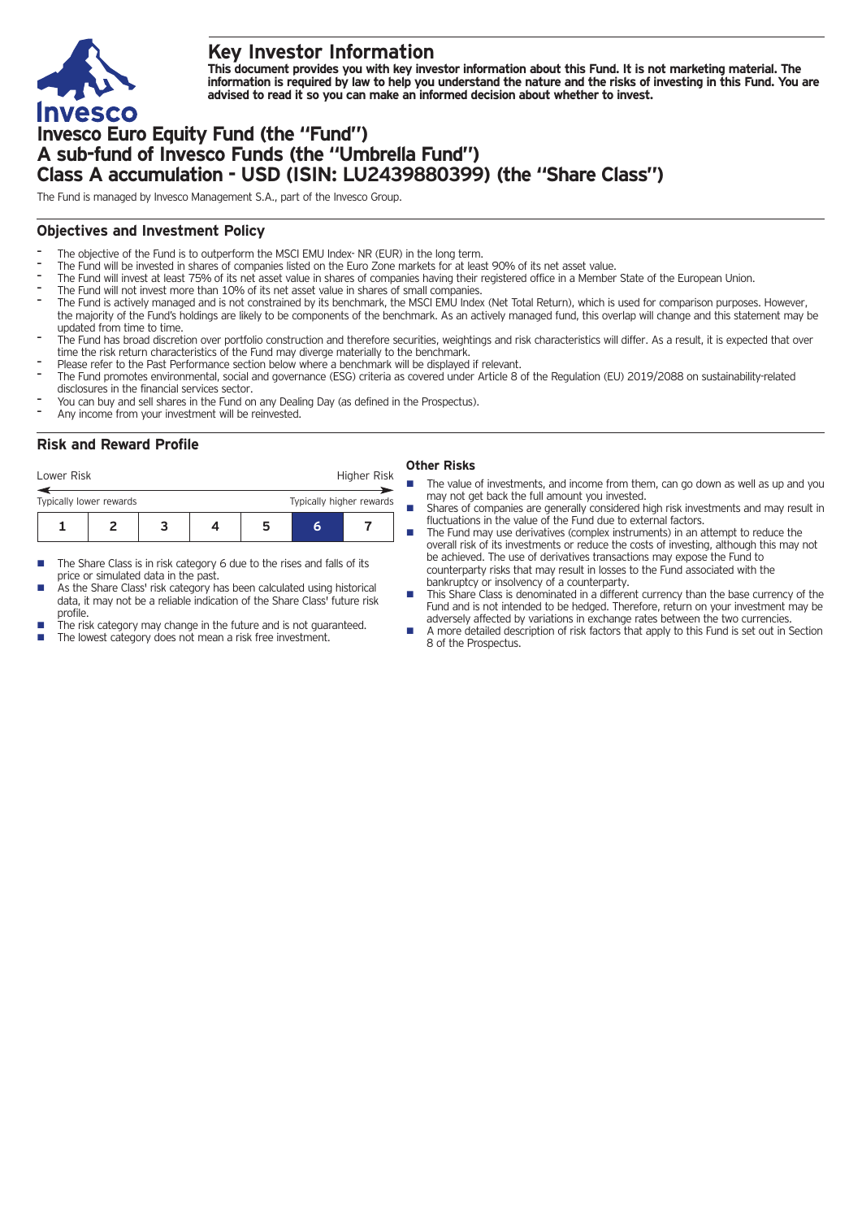

# **Key Investor Information**

This document provides you with key investor information about this Fund. It is not marketing material. The information is required by law to help you understand the nature and the risks of investing in this Fund. You are **advised to read it so you can make an informed decision about whether to invest.**

# **Invesco Euro Equity Fund (the "Fund") A sub-fund of Invesco Funds (the "Umbrella Fund") Class A accumulation - USD (ISIN: LU2439880399) (the "Share Class")**

The Fund is managed by Invesco Management S.A., part of the Invesco Group.

## **Objectives and Investment Policy**

- The objective of the Fund is to outperform the MSCI EMU Index- NR (EUR) in the long term.
- The Fund will be invested in shares of companies listed on the Euro Zone markets for at least 90% of its net asset value.
- The Fund will invest at least 75% of its net asset value in shares of companies having their registered office in a Member State of the European Union.
- The Fund will not invest more than 10% of its net asset value in shares of small companies.
- The Fund is actively managed and is not constrained by its benchmark, the MSCI EMU Index (Net Total Return), which is used for comparison purposes. However, the majority of the Fund's holdings are likely to be components of the benchmark. As an actively managed fund, this overlap will change and this statement may be updated from time to time.
- The Fund has broad discretion over portfolio construction and therefore securities, weightings and risk characteristics will differ. As a result, it is expected that over time the risk return characteristics of the Fund may diverge materially to the benchmark.
- Please refer to the Past Performance section below where a benchmark will be displayed if relevant.
- The Fund promotes environmental, social and governance (ESG) criteria as covered under Article 8 of the Regulation (EU) 2019/2088 on sustainability-related disclosures in the financial services sector.
- You can buy and sell shares in the Fund on any Dealing Day (as defined in the Prospectus).
- Any income from your investment will be reinvested.

## **Risk and Reward Profile**

| Lower Risk              |  |  |  | Higher Risk              |   |  |
|-------------------------|--|--|--|--------------------------|---|--|
| Typically lower rewards |  |  |  | Typically higher rewards |   |  |
|                         |  |  |  | ּ                        | h |  |

- The Share Class is in risk category 6 due to the rises and falls of its price or simulated data in the past.
- As the Share Class' risk category has been calculated using historical data, it may not be a reliable indication of the Share Class' future risk profile.
- The risk category may change in the future and is not guaranteed.
- The lowest category does not mean a risk free investment.

#### **Other Risks**

- The value of investments, and income from them, can go down as well as up and you may not get back the full amount you invested.
- Shares of companies are generally considered high risk investments and may result in fluctuations in the value of the Fund due to external factors.
- The Fund may use derivatives (complex instruments) in an attempt to reduce the overall risk of its investments or reduce the costs of investing, although this may not be achieved. The use of derivatives transactions may expose the Fund to counterparty risks that may result in losses to the Fund associated with the bankruptcy or insolvency of a counterparty.
- This Share Class is denominated in a different currency than the base currency of the Fund and is not intended to be hedged. Therefore, return on your investment may be adversely affected by variations in exchange rates between the two currencies.
- n A more detailed description of risk factors that apply to this Fund is set out in Section 8 of the Prospectus.